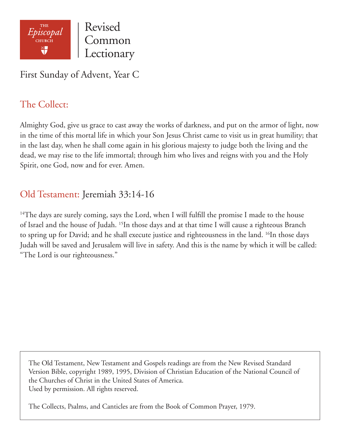

First Sunday of Advent, Year C

## The Collect:

Almighty God, give us grace to cast away the works of darkness, and put on the armor of light, now in the time of this mortal life in which your Son Jesus Christ came to visit us in great humility; that in the last day, when he shall come again in his glorious majesty to judge both the living and the dead, we may rise to the life immortal; through him who lives and reigns with you and the Holy Spirit, one God, now and for ever. Amen.

# Old Testament: Jeremiah 33:14-16

<sup>14</sup>The days are surely coming, says the Lord, when I will fulfill the promise I made to the house of Israel and the house of Judah. 15In those days and at that time I will cause a righteous Branch to spring up for David; and he shall execute justice and righteousness in the land. <sup>16</sup>In those days Judah will be saved and Jerusalem will live in safety. And this is the name by which it will be called: "The Lord is our righteousness."

The Old Testament, New Testament and Gospels readings are from the New Revised Standard Version Bible, copyright 1989, 1995, Division of Christian Education of the National Council of the Churches of Christ in the United States of America. Used by permission. All rights reserved.

The Collects, Psalms, and Canticles are from the Book of Common Prayer, 1979.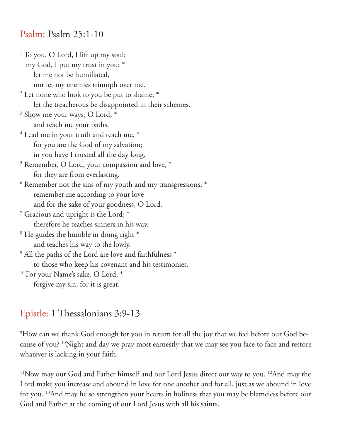#### Psalm: Psalm 25:1-10

1 To you, O Lord, I lift up my soul; my God, I put my trust in you; \* let me not be humiliated, nor let my enemies triumph over me. <sup>2</sup> Let none who look to you be put to shame;  $^*$  let the treacherous be disappointed in their schemes. 3 Show me your ways, O Lord, \* and teach me your paths.  $^4$  Lead me in your truth and teach me,  $^\ast$  for you are the God of my salvation; in you have I trusted all the day long. 5 Remember, O Lord, your compassion and love, \* for they are from everlasting.  $^6$  Remember not the sins of my youth and my transgressions;  $^\ast$  remember me according to your love and for the sake of your goodness, O Lord. 7 Gracious and upright is the Lord; \* therefore he teaches sinners in his way. 8 He guides the humble in doing right \* and teaches his way to the lowly.  $^9$  All the paths of the Lord are love and faithfulness  $^\ast$  to those who keep his covenant and his testimonies. <sup>10</sup> For your Name's sake, O Lord, \*

forgive my sin, for it is great.

### Epistle: 1 Thessalonians 3:9-13

 $^9{\rm How}$  can we thank God enough for you in return for all the joy that we feel before our God because of you? 10Night and day we pray most earnestly that we may see you face to face and restore whatever is lacking in your faith.

<sup>11</sup>Now may our God and Father himself and our Lord Jesus direct our way to you. <sup>12</sup>And may the Lord make you increase and abound in love for one another and for all, just as we abound in love for you. 13And may he so strengthen your hearts in holiness that you may be blameless before our God and Father at the coming of our Lord Jesus with all his saints.